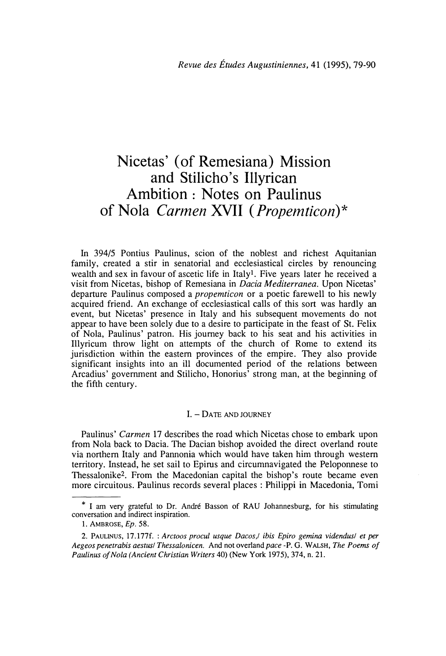# Nicetas' (of Remesiana) Mission and Stilicho's Illyrican Ambition : Notes on Paulinus of Nola *Carmen* XVII *(Propemticorì)\**

In 394/5 Pontius Paulinus, scion of the noblest and richest Aquitanian family, created a stir in senatorial and ecclesiastical circles by renouncing wealth and sex in favour of ascetic life in Italy<sup>1</sup>. Five years later he received a visit from Nicetas, bishop of Remesiana in *Dacia Mediterranea.* Upon Nicetas' departure Paulinus composed a *propemticon* or a poetic farewell to his newly acquired friend. An exchange of ecclesiastical calls of this sort was hardly an event, but Nicetas' presence in Italy and his subsequent movements do not appear to have been solely due to a desire to participate in the feast of St. Felix of Nola, Paulinus' patron. His journey back to his seat and his activities in Illyricum throw light on attempts of the church of Rome to extend its jurisdiction within the eastern provinces of the empire. They also provide significant insights into an ill documented period of the relations between Arcadius' government and Stilicho, Honorius' strong man, at the beginning of the fifth century.

## $I -$ DATE AND JOURNEY

Paulinus' *Carmen* 17 describes the road which Nicetas chose to embark upon from Nola back to Dacia. The Dacian bishop avoided the direct overland route via northern Italy and Pannonia which would have taken him through western territory. Instead, he set sail to Epirus and circumnavigated the Péloponnèse to Thessalonike<sup>2</sup> . From the Macedonian capital the bishop's route became even more circuitous. Paulinus records several places : Philippi in Macedonia, Tomi

<sup>\*</sup> I am very grateful to Dr. André Basson of RAU Johannesburg, for his stimulating conversation and indirect inspiration.

<sup>1.</sup> AMBROSE, *Ep.* 58.

<sup>2.</sup> PAULINUS, 17.177f. : *Arctoos procul usque DacosJ ibis Epiro gemina videndusl et per Aegeos penetrabis aestusl Thessalonicen.* And not overland pace -P. G. WALSH, *The Poems of Paulinus of Nola (Ancient Christian Writers* 40) (New York 1975), 374, n. 21.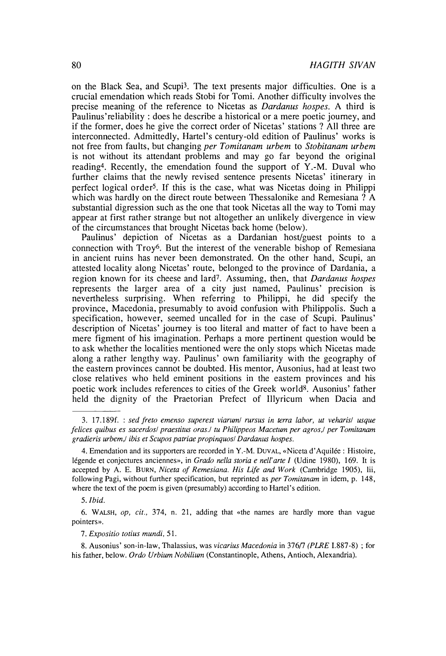on the Black Sea, and Scupi<sup>3</sup>. The text presents major difficulties. One is a crucial emendation which reads Stobi for Tomi. Another difficulty involves the precise meaning of the reference to Nicetas as *Dardanus hospes.* A third is Paulinus'reliability : does he describe a historical or a mere poetic journey, and if the former, does he give the correct order of Nicetas' stations ? All three are interconnected. Admittedly, Hartel's century-old edition of Paulinus' works is not free from faults, but changing *per Tomitanam urbem* to *Stobitanam urbem*  is not without its attendant problems and may go far beyond the original reading<sup>4</sup> . Recently, the emendation found the support of Y.-M. Duval who further claims that the newly revised sentence presents Nicetas' itinerary in perfect logical order<sup>5</sup> . If this is the case, what was Nicetas doing in Philippi which was hardly on the direct route between Thessalonike and Remesiana ? A substantial digression such as the one that took Nicetas all the way to Tomi may appear at first rather strange but not altogether an unlikely divergence in view of the circumstances that brought Nicetas back home (below).

Paulinus' depiction of Nicetas as a Dardanian host/guest points to a connection with Troy<sup>6</sup> . But the interest of the venerable bishop of Remesiana in ancient ruins has never been demonstrated. On the other hand, Scupi, an attested locality along Nicetas' route, belonged to the province of Dardania, a region known for its cheese and lard<sup>7</sup> . Assuming, then, that *Dardanus hospes*  represents the larger area of a city just named, Paulinus' precision is nevertheless surprising. When referring to Philippi, he did specify the province, Macedonia, presumably to avoid confusion with Philippolis. Such a specification, however, seemed uncalled for in the case of Scupi. Paulinus' description of Nicetas' journey is too literal and matter of fact to have been a mere figment of his imagination. Perhaps a more pertinent question would be to ask whether the localities mentioned were the only stops which Nicetas made along a rather lengthy way. Paulinus' own familiarity with the geography of the eastern provinces cannot be doubted. His mentor, Ausonius, had at least two close relatives who held eminent positions in the eastern provinces and his poetic work includes references to cities of the Greek world<sup>8</sup>. Ausonius' father held the dignity of the Praetorian Prefect of Illyricum when Dacia and

7. *Expositio tonus mundi,* 51.

<sup>3. 17.189</sup>f. : sed freto emenso superest viarum/ rursus in terra labor, ut veharis/ usque *felices quibus es sacerdosl praestitus or as.I tu Philippeos Macetum per agros,/ per Tomitanam gradieris urbem,/ ibis et Scupos patriae propinquos/ Dardanus hospes.* 

<sup>4.</sup> Emendation and its supporters are recorded in Y.-M. DUVAL, «Niceta d'Aquilée : Histoire, légende et conjectures anciennes», in *Grado nella storia e nell'arte I* (Udine 1980), 169. It is accepted by A. E. BURN, *Niceta of Remesiana. His Life and Work* (Cambridge 1905), Hi, following Pagi, without further specification, but reprinted as *per Tomitanam* in idem, p. 148, where the text of the poem is given (presumably) according to Hartel's edition.

<sup>5.</sup> *Ibid.* 

<sup>6.</sup> WALSH, *op, cit.,* 374, η. 21, adding that «the names are hardly more than vague pointers».

<sup>8.</sup> Ausonius' son-in-law, Thalassius, was *vicarius Macedonia* in 376/7 *(PLRE* 1.887-8) ; for his father, below. *Ordo Urbium Nobilium* (Constantinople, Athens, Antioch, Alexandria).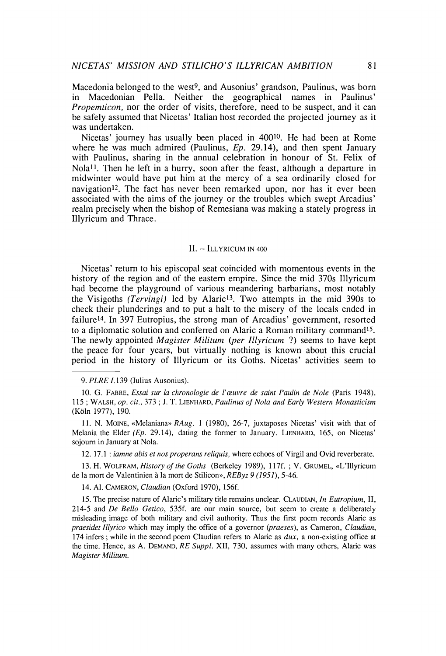Macedonia belonged to the west<sup>9</sup>, and Ausonius' grandson, Paulinus, was born in Macedonian Pella. Neither the geographical names in Paulinus' *Propemticon*, nor the order of visits, therefore, need to be suspect, and it can be safely assumed that Nicetas' Italian host recorded the projected journey as it was undertaken.

Nicetas' journey has usually been placed in 400<sup>10</sup> . He had been at Rome where he was much admired (Paulinus, *Ep.* 29.14), and then spent January with Paulinus, sharing in the annual celebration in honour of St. Felix of Nola<sup>11</sup>. Then he left in a hurry, soon after the feast, although a departure in midwinter would have put him at the mercy of a sea ordinarily closed for navigation<sup>12</sup>. The fact has never been remarked upon, nor has it ever been associated with the aims of the journey or the troubles which swept Arcadius' realm precisely when the bishop of Remesiana was making a stately progress in Illyricum and Thrace.

#### II. - ILLYRICUM IN 400

Nicetas' return to his episcopal seat coincided with momentous events in the history of the region and of the eastern empire. Since the mid 370s Illyricum had become the playground of various meandering barbarians, most notably the Visigoths *(Tervingi)* led by Alarici<sup>3</sup> . Two attempts in the mid 390s to check their plunderings and to put a halt to the misery of the locals ended in failure<sup>14</sup>. In 397 Eutropius, the strong man of Arcadius' government, resorted to a diplomatic solution and conferred on Alaric a Roman military command<sup>15</sup>. The newly appointed *Magister Militum (per Illyricum* ?) seems to have kept the peace for four years, but virtually nothing is known about this crucial period in the history of Illyricum or its Goths. Nicetas' activities seem to

9. *PLRE* /.139 (Iulius Ausonius).

10. G. FABRE, *Essai sur la chronologie de l'œuvre de saint Paulin de Noie* (Paris 1948), 115 ; WALSH, *op. cit.,* 373 ; J. T. LIENHARD, *Paulinus of Nola and Early Western Monasticism*  (Köln 1977), 190.

11. Ν. MOINE, «Melaniana» *RAug.* 1 (1980), 26-7, juxtaposes Nicetas' visit with that of Melania the Elder *{Ep.* 29.14), dating the former to January. LIENHARD, 165, on Nicetas' sojourn in January at Nola.

12. 17.1 : *iamne abis et nos properans reliquis,* where echoes of Virgil and Ovid reverberate.

13. H. WOLFRAM, *History of the Goths* (Berkeley 1989), 117f. ; V. GRUMEL, «L'lllyricum de la mort de Valentinien à la mort de Stilicon», *REByz 9 (1951),* 5-46.

14. Al. CAMERON, *Claudian* (Oxford 1970), 156f.

15. The precise nature of Alaric's military title remains unclear. CLAUDIAN, *In Eutropium,* II, 214-5 and *De Bello Getico,* 535f. are our main source, but seem to create a deliberately misleading image of both military and civil authority. Thus the first poem records Alaric as *praesidet Illy rico* which may imply the office of a governor *(praeses),* as Cameron, *Claudian,*  174 infers ; while in the second poem Claudian refers to Alaric as *dux,* a non-existing office at the time. Hence, as A. DEMAND, *RE Suppl.* XII, 730, assumes with many others, Alaric was *Magister Militum.*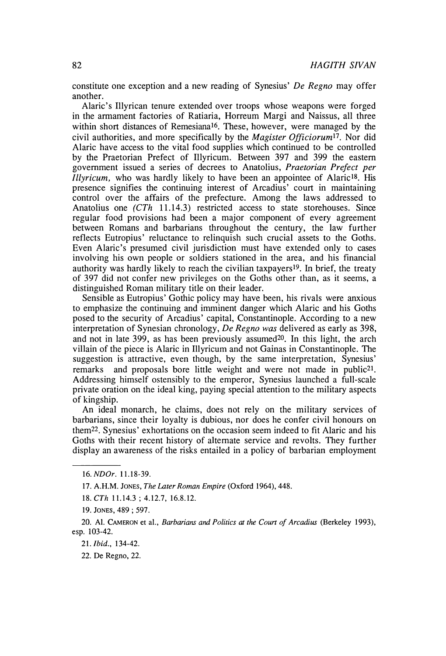constitute one exception and a new reading of Synesius' De *Regno* may offer another.

Alaric's Illyrican tenure extended over troops whose weapons were forged in the armament factories of Ratiaria, Horreum Margi and Naissus, all three within short distances of Remesiana<sup>16</sup>. These, however, were managed by the civil authorities, and more specifically by the *Magister Officiorum<sup>11</sup> .* Nor did Alaric have access to the vital food supplies which continued to be controlled by the Praetorian Prefect of Illyricum. Between 397 and 399 the eastern government issued a series of decrees to Anatolius, *Praetorian Prefect per Illyricum,* who was hardly likely to have been an appointee of Alaric<sup>18</sup> . His presence signifies the continuing interest of Arcadius' court in maintaining control over the affairs of the prefecture. Among the laws addressed to Anatolius one *(CTh* 11.14.3) restricted access to state storehouses. Since regular food provisions had been a major component of every agreement between Romans and barbarians throughout the century, the law further reflects Eutropius' reluctance to relinquish such crucial assets to the Goths. Even Alaric's presumed civil jurisdiction must have extended only to cases involving his own people or soldiers stationed in the area, and his financial authority was hardly likely to reach the civilian taxpayers<sup>19</sup>. In brief, the treaty of 397 did not confer new privileges on the Goths other than, as it seems, a distinguished Roman military title on their leader.

Sensible as Eutropius' Gothic policy may have been, his rivals were anxious to emphasize the continuing and imminent danger which Alaric and his Goths posed to the security of Arcadius' capital, Constantinople. According to a new interpretation of Synesian chronology, De *Regno was* delivered as early as 398, and not in late 399, as has been previously assumed<sup>20</sup>. In this light, the arch villain of the piece is Alaric in Illyricum and not Gainas in Constantinople. The suggestion is attractive, even though, by the same interpretation, Synesius' remarks and proposals bore little weight and were not made in public<sup>21</sup>. Addressing himself ostensibly to the emperor, Synesius launched a full-scale private oration on the ideal king, paying special attention to the military aspects of kingship.

An ideal monarch, he claims, does not rely on the military services of barbarians, since their loyalty is dubious, nor does he confer civil honours on them<sup>22</sup> . Synesius' exhortations on the occasion seem indeed to fit Alaric and his Goths with their recent history of alternate service and revolts. They further display an awareness of the risks entailed in a policy of barbarian employment

20. Al. CAMERON et al., *Barbarians and Politics at the Court of Arcadius* (Berkeley 1993), esp. 103-42.

21. *Ibid.,* 134-42.

22. De Regno, 22.

<sup>16.</sup> *NDOr.* 11.18-39.

<sup>17.</sup> A.H.M. JONES, *The Later Roman Empire* (Oxford 1964), 448.

<sup>18.</sup> CTh 11.14.3; 4.12.7, 16.8.12.

<sup>19.</sup> JONES, 489 ; 597.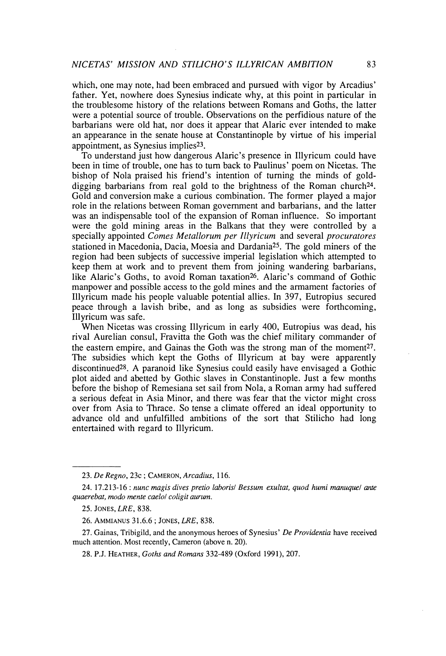which, one may note, had been embraced and pursued with vigor by Arcadius' father. Yet, nowhere does Synesius indicate why, at this point in particular in the troublesome history of the relations between Romans and Goths, the latter were a potential source of trouble. Observations on the perfidious nature of the barbarians were old hat, nor does it appear that Alaric ever intended to make an appearance in the senate house at Constantinople by virtue of his imperial appointment, as Synesius implies<sup>23</sup>.

To understand just how dangerous Alaric's presence in Illyricum could have been in time of trouble, one has to turn back to Paulinus' poem on Nicetas. The bishop of Nola praised his friend's intention of turning the minds of golddigging barbarians from real gold to the brightness of the Roman church<sup>24</sup>. Gold and conversion make a curious combination. The former played a major role in the relations between Roman government and barbarians, and the latter was an indispensable tool of the expansion of Roman influence. So important were the gold mining areas in the Balkans that they were controlled by a specially appointed *Comes Metallorum per Illyricum* and several *procuratores*  stationed in Macedonia, Dacia, Moesia and Dardania<sup>25</sup>. The gold miners of the region had been subjects of successive imperial legislation which attempted to keep them at work and to prevent them from joining wandering barbarians, like Alaric's Goths, to avoid Roman taxation<sup>26</sup>. Alaric's command of Gothic manpower and possible access to the gold mines and the armament factories of Illyricum made his people valuable potential allies. In 397, Eutropius secured peace through a lavish bribe, and as long as subsidies were forthcoming, Illyricum was safe.

When Nicetas was crossing Illyricum in early 400, Eutropius was dead, his rival Aurelian consul, Fravitta the Goth was the chief military commander of the eastern empire, and Gainas the Goth was the strong man of the moment<sup>27</sup>. The subsidies which kept the Goths of Illyricum at bay were apparently discontinued<sup>28</sup> . A paranoid like Synesius could easily have envisaged a Gothic plot aided and abetted by Gothic slaves in Constantinople. Just a few months before the bishop of Remesiana set sail from Nola, a Roman army had suffered a serious defeat in Asia Minor, and there was fear that the victor might cross over from Asia to Thrace. So tense a climate offered an ideal opportunity to advance old and unfulfilled ambitions of the sort that Stilicho had long entertained with regard to Illyricum.

<sup>23.</sup> *De Regno,* 23c ; CAMERON, *Arcadius,* 116.

<sup>24. 17.213-16 :</sup> *nunc magis dives predo laborisl Bessum exultât, quod Inumi manuquel ante quaerebat, modo mente cáelo/ coligit aurum.* 

<sup>25.</sup> JONES, *LRE,* 838.

<sup>26.</sup> AMMIANUS 31.6.6 ; JONES, *LRE,* 838.

<sup>27.</sup> Gainas, Tribigild, and the anonymous heroes of Synesius' *De Providentia* have received much attention. Most recently, Cameron (above n. 20).

<sup>28.</sup> P.J. HEATHER, *Goths and Romans* 332-489 (Oxford 1991), 207.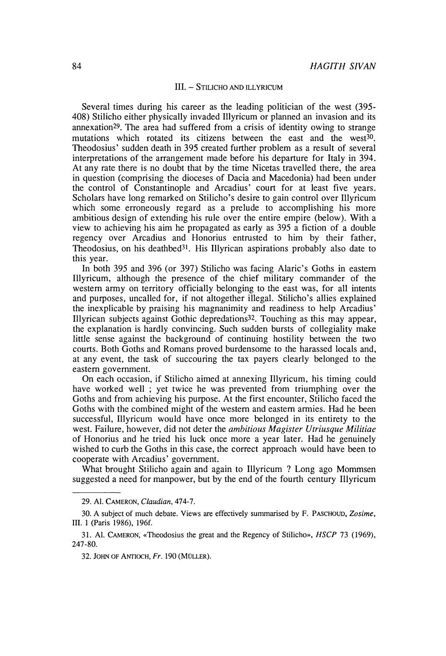# III. - STILICHO AND ILLYRICUM

Several times during his career as the leading politician of the west (395- 408) Stilicho either physically invaded Illyricum or planned an invasion and its annexation<sup>29</sup>. The area had suffered from a crisis of identity owing to strange mutations which rotated its citizens between the east and the west<sup>30</sup>. Theodosius' sudden death in 395 created further problem as a result of several interpretations of the arrangement made before his departure for Italy in 394. At any rate there is no doubt that by the time Nicetas travelled there, the area in question (comprising the dioceses of Dacia and Macedonia) had been under the control of Constantinople and Arcadius' court for at least five years. Scholars have long remarked on Stilicho's desire to gain control over Illyricum which some erroneously regard as a prelude to accomplishing his more ambitious design of extending his rule over the entire empire (below). With a view to achieving his aim he propagated as early as 395 a fiction of a double regency over Arcadius and Honorius entrusted to him by their father, Theodosius, on his deathbed<sup>3</sup> !. His Illyrican aspirations probably also date to this year.

In both 395 and 396 (or 397) Stilicho was facing Alaric's Goths in eastern Illyricum, although the presence of the chief military commander of the western army on territory officially belonging to the east was, for all intents and purposes, uncalled for, if not altogether illegal. Stilicho's allies explained the inexplicable by praising his magnanimity and readiness to help Arcadius' Illyrican subjects against Gothic depredations<sup>32</sup> . Touching as this may appear, the explanation is hardly convincing. Such sudden bursts of collegiality make little sense against the background of continuing hostility between the two courts. Both Goths and Romans proved burdensome to the harassed locals and, at any event, the task of succouring the tax payers clearly belonged to the eastern government.

On each occasion, if Stilicho aimed at annexing Illyricum, his timing could have worked well ; yet twice he was prevented from triumphing over the Goths and from achieving his purpose. At the first encounter, Stilicho faced the Goths with the combined might of the western and eastern armies. Had he been successful, Illyricum would have once more belonged in its entirety to the west. Failure, however, did not deter the *ambitious Magister Utriusque Militiae*  of Honorius and he tried his luck once more a year later. Had he genuinely wished to curb the Goths in this case, the correct approach would have been to cooperate with Arcadius' government.

What brought Stilicho again and again to Illyricum ? Long ago Mommsen suggested a need for manpower, but by the end of the fourth century Illyricum

<sup>29.</sup> Al. CAMERON, *Claudian,* 474-7.

<sup>30.</sup> A subject of much debate. Views are effectively summarised by F. PASCHOUD, *Zosime,*  III. 1 (Paris 1986), 196f.

<sup>31.</sup> Al. CAMERON, «Theodosius the great and the Regency of Stilicho», *HSCP* 73 (1969), 247-80.

<sup>32.</sup> JOHN OF ANTIOCH, *Fr.* 190 (MÜLLER).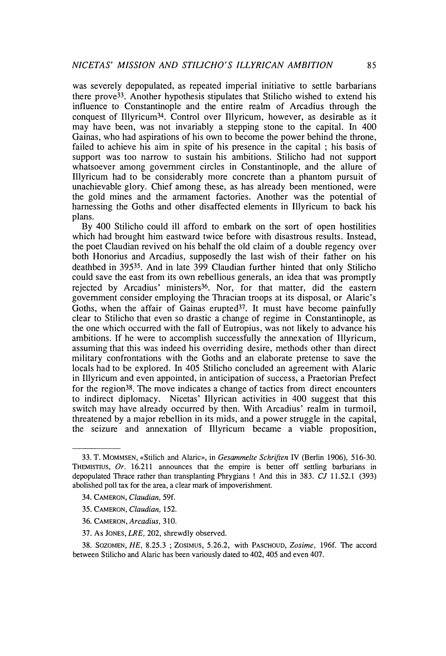was severely depopulated, as repeated imperial initiative to settle barbarians there prove<sup>33</sup> . Another hypothesis stipulates that Stilicho wished to extend his influence to Constantinople and the entire realm of Arcadius through the conquest of Illyricum<sup>34</sup> . Control over Illyricum, however, as desirable as it may have been, was not invariably a stepping stone to the capital. In 400 Gainas, who had aspirations of his own to become the power behind the throne, failed to achieve his aim in spite of his presence in the capital ; his basis of support was too narrow to sustain his ambitions. Stilicho had not support whatsoever among government circles in Constantinople, and the allure of Illyricum had to be considerably more concrete than a phantom pursuit of unachievable glory. Chief among these, as has already been mentioned, were the gold mines and the armament factories. Another was the potential of harnessing the Goths and other disaffected elements in Illyricum to back his plans.

By 400 Stilicho could ill afford to embark on the sort of open hostilities which had brought him eastward twice before with disastrous results. Instead, the poet Claudian revived on his behalf the old claim of a double regency over both Honorius and Arcadius, supposedly the last wish of their father on his deathbed in 395<sup>35</sup> . And in late 399 Claudian further hinted that only Stilicho could save the east from its own rebellious generals, an idea that was promptly rejected by Arcadius' ministers<sup>36</sup>. Nor, for that matter, did the eastern government consider employing the Thracian troops at its disposal, or Alaric's Goths, when the affair of Gainas erupted<sup>37</sup> . It must have become painfully clear to Stilicho that even so drastic a change of regime in Constantinople, as the one which occurred with the fall of Eutropius, was not likely to advance his ambitions. If he were to accomplish successfully the annexation of Illyricum, assuming that this was indeed his overriding desire, methods other than direct military confrontations with the Goths and an elaborate pretense to save the locals had to be explored. In 405 Stilicho concluded an agreement with Alaric in Illyricum and even appointed, in anticipation of success, a Praetorian Prefect for the region<sup>38</sup> . The move indicates a change of tactics from direct encounters to indirect diplomacy. Nicetas' Illyrican activities in 400 suggest that this switch may have already occurred by then. With Arcadius' realm in turmoil, threatened by a major rebellion in its mids, and a power struggle in the capital, the seizure and annexation of Illyricum became a viable proposition,

<sup>33.</sup> T. MOMMSEN, «Stilich and Alaric», in *Gesammelte Schriften* IV (Berlin 1906), 516-30. THEMISTIUS, *Or.* 16.211 announces that the empire is better off settling barbarians in depopulated Thrace rather than transplanting Phrygians ! And this in 383. *CJ* 11.52.1 (393) abolished poll tax for the area, a clear mark of impoverishment.

<sup>34.</sup> CAMERON, *Claudian,* 59f.

<sup>35.</sup> CAMERON, *Claudian,* 152.

<sup>36.</sup> CAMERON, *Arcadius,* 310.

<sup>37.</sup> As JONES, *LRE,* 202, shrewdly observed.

<sup>38.</sup> SOZOMEN, *HE,* 8.25.3 ; ZOSIMUS, 5.26.2, with PASCHOUD, *Zosime,* 196f. The accord between Stilicho and Alaric has been variously dated to 402, 405 and even 407.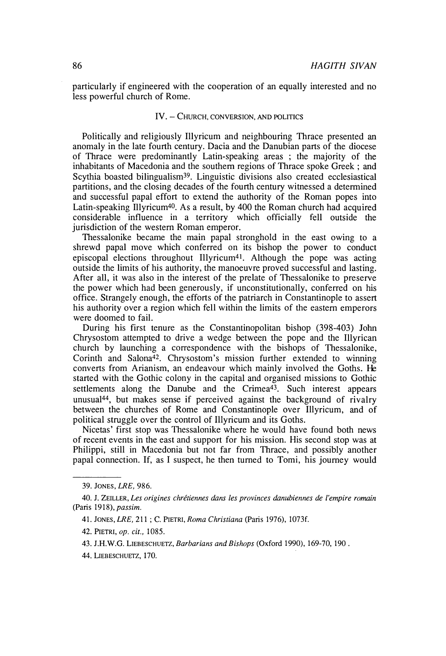particularly if engineered with the cooperation of an equally interested and no less powerful church of Rome.

## $IV. - C$ HURCH, CONVERSION, AND POLITICS

Politically and religiously Illyricum and neighbouring Thrace presented an anomaly in the late fourth century. Dacia and the Danubian parts of the diocese of Thrace were predominantly Latin-speaking areas ; the majority of the inhabitants of Macedonia and the southern regions of Thrace spoke Greek ; and Scythia boasted bilingualism<sup>39</sup>. Linguistic divisions also created ecclesiastical partitions, and the closing decades of the fourth century witnessed a determined and successful papal effort to extend the authority of the Roman popes into Latin-speaking Illyricum<sup>40</sup>. As a result, by 400 the Roman church had acquired considerable influence in a territory which officially fell outside the jurisdiction of the western Roman emperor.

Thessalonike became the main papal stronghold in the east owing to a shrewd papal move which conferred on its bishop the power to conduct episcopal elections throughout Illyricum<sup>41</sup>. Although the pope was acting outside the limits of his authority, the manoeuvre proved successful and lasting. After all, it was also in the interest of the prelate of Thessalonike to preserve the power which had been generously, if unconstitutionally, conferred on his office. Strangely enough, the efforts of the patriarch in Constantinople to assert his authority over a region which fell within the limits of the eastern emperors were doomed to fail.

During his first tenure as the Constantinopolitan bishop (398-403) John Chrysostom attempted to drive a wedge between the pope and the Illyrican church by launching a correspondence with the bishops of Thessalonike, Corinth and Salona<sup>42</sup>. Chrysostom's mission further extended to winning converts from Arianism, an endeavour which mainly involved the Goths. He started with the Gothic colony in the capital and organised missions to Gothic settlements along the Danube and the Crimea<sup>43</sup>. Such interest appears unusual<sup>44</sup> , but makes sense if perceived against the background of rivalry between the churches of Rome and Constantinople over Illyricum, and of political struggle over the control of Illyricum and its Goths.

Nicetas' first stop was Thessalonike where he would have found both news of recent events in the east and support for his mission. His second stop was at Philippi, still in Macedonia but not far from Thrace, and possibly another papal connection. If, as I suspect, he then turned to Tomi, his journey would

44. LIEBESCHUETZ, 170.

<sup>39.</sup> JONES, *LRE,* 986.

<sup>40.</sup> J. ZEILLER, *Les origines chrétiennes dans les provinces danubiennes de l'empire romain*  (Paris 1918), *passim.* 

<sup>41.</sup> JONES, *LRE,* 211 ; C. PIETRI, *Roma Christiana* (Paris 1976), 1073f.

<sup>42.</sup> PIETRI, ¿?p. *cit.,* 1085.

<sup>43.</sup> J.H.W.G. LIEBESCHUETZ, *Barbarians and Bishops* (Oxford 1990), 169-70, 190 .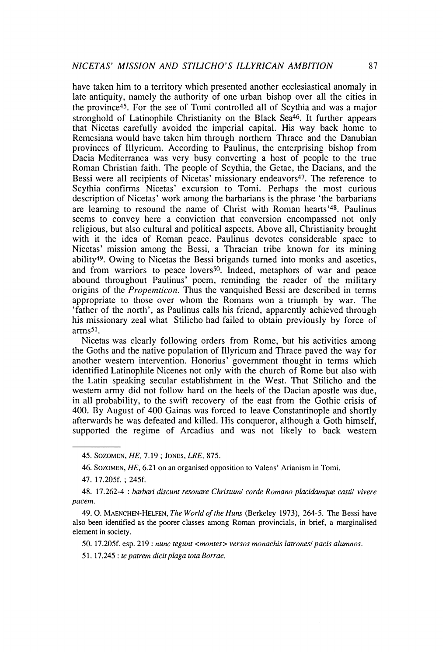have taken him to a territory which presented another ecclesiastical anomaly in late antiquity, namely the authority of one urban bishop over all the cities in the province<sup>45</sup> . For the see of Tomi controlled all of Scythia and was a major stronghold of Latinophile Christianity on the Black Sea<sup>46</sup>. It further appears that Nicetas carefully avoided the imperial capital. His way back home to Remesiana would have taken him through northern Thrace and the Danubian provinces of Illyricum. According to Paulinus, the enterprising bishop from Dacia Mediterranea was very busy converting a host of people to the true Roman Christian faith. The people of Scythia, the Getae, the Dacians, and the Bessi were all recipients of Nicetas' missionary endeavors<sup>47</sup>. The reference to Scythia confirms Nicetas' excursion to Tomi. Perhaps the most curious description of Nicetas' work among the barbarians is the phrase 'the barbarians are learning to resound the name of Christ with Roman hearts'48. Paulinus seems to convey here a conviction that conversion encompassed not only religious, but also cultural and political aspects. Above all, Christianity brought with it the idea of Roman peace. Paulinus devotes considerable space to Nicetas' mission among the Bessi, a Thracian tribe known for its mining ability<sup>49</sup>. Owing to Nicetas the Bessi brigands turned into monks and ascetics, and from warriors to peace lovers<sup>50</sup>. Indeed, metaphors of war and peace abound throughout Paulinus' poem, reminding the reader of the military origins of the *Propemticon.* Thus the vanquished Bessi are described in terms appropriate to those over whom the Romans won a triumph by war. The 'father of the north', as Paulinus calls his friend, apparently achieved through his missionary zeal what Stilicho had failed to obtain previously by force of arms<sup>51</sup> .

Nicetas was clearly following orders from Rome, but his activities among the Goths and the native population of Illyricum and Thrace paved the way for another western intervention. Honorius' government thought in terms which identified Latinophile Nicenes not only with the church of Rome but also with the Latin speaking secular establishment in the West. That Stilicho and the western army did not follow hard on the heels of the Dacian apostle was due, in all probability, to the swift recovery of the east from the Gothic crisis of 400. By August of 400 Gainas was forced to leave Constantinople and shortly afterwards he was defeated and killed. His conqueror, although a Goth himself, supported the regime of Arcadius and was not likely to back western

<sup>45.</sup> SOZOMEN, *HE,* 7.19 ; JONES, *LRE,* 875.

<sup>46.</sup> SOZOMEN, *HE,* 6.21 on an organised opposition to Valens' Arianism in Tomi.

<sup>47. 17.205</sup>f. ; 245f.

<sup>48. 17.262-4 :</sup> *barban discunt resonare Christum/ corde Romano placidamque costil vivere pacem.* 

<sup>49.</sup> O. MAENCHEN-HELFEN, *The World of the Huns* (Berkeley 1973), 264-5. The Bessi have also been identified as the poorer classes among Roman provincials, in brief, a marginalised element in society.

<sup>50. 17.205</sup>f. esp. 219 : *nunc tegunt <montes> versos monachis latronesl pads alumnos.* 

<sup>51.17.245 :</sup> *tepatrem dicitplaga totaBorrae.*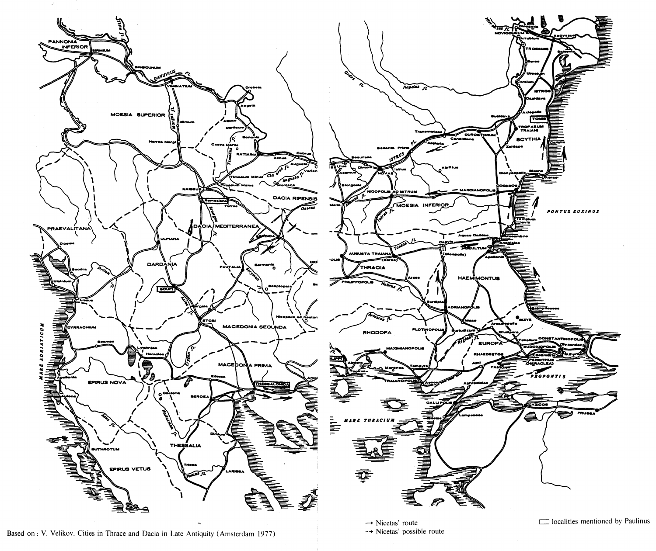

Based on : V. Velikov, Cities in Thrace and Dacia in Late Antiquity (Amsterdam 1977)

Nicetas' possibl e route

 $\Box$  localities mentioned by Paulinus